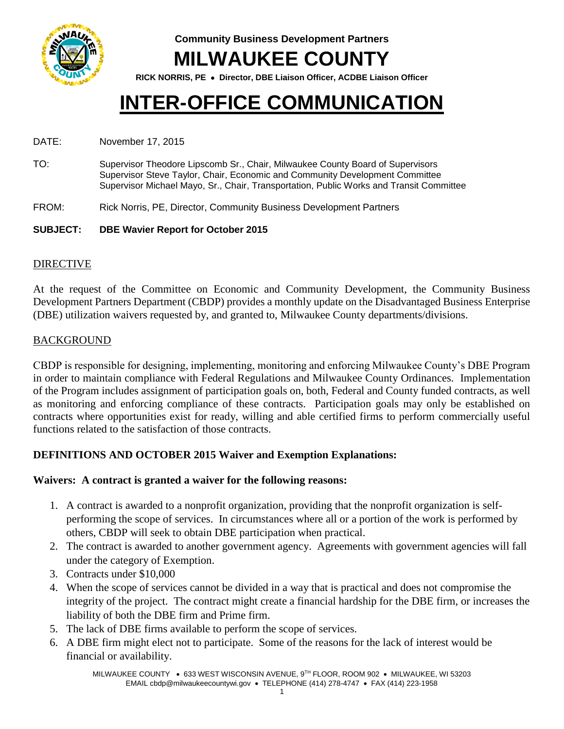

**Community Business Development Partners MILWAUKEE COUNTY**

**RICK NORRIS, PE Director, DBE Liaison Officer, ACDBE Liaison Officer**

# **INTER-OFFICE COMMUNICATION**

DATE: November 17, 2015

- TO: Supervisor Theodore Lipscomb Sr., Chair, Milwaukee County Board of Supervisors Supervisor Steve Taylor, Chair, Economic and Community Development Committee Supervisor Michael Mayo, Sr., Chair, Transportation, Public Works and Transit Committee
- FROM: Rick Norris, PE, Director, Community Business Development Partners
- **SUBJECT: DBE Wavier Report for October 2015**

### DIRECTIVE

At the request of the Committee on Economic and Community Development, the Community Business Development Partners Department (CBDP) provides a monthly update on the Disadvantaged Business Enterprise (DBE) utilization waivers requested by, and granted to, Milwaukee County departments/divisions.

### BACKGROUND

CBDP is responsible for designing, implementing, monitoring and enforcing Milwaukee County's DBE Program in order to maintain compliance with Federal Regulations and Milwaukee County Ordinances. Implementation of the Program includes assignment of participation goals on, both, Federal and County funded contracts, as well as monitoring and enforcing compliance of these contracts. Participation goals may only be established on contracts where opportunities exist for ready, willing and able certified firms to perform commercially useful functions related to the satisfaction of those contracts.

### **DEFINITIONS AND OCTOBER 2015 Waiver and Exemption Explanations:**

### **Waivers: A contract is granted a waiver for the following reasons:**

- 1. A contract is awarded to a nonprofit organization, providing that the nonprofit organization is selfperforming the scope of services. In circumstances where all or a portion of the work is performed by others, CBDP will seek to obtain DBE participation when practical.
- 2. The contract is awarded to another government agency. Agreements with government agencies will fall under the category of Exemption.
- 3. Contracts under \$10,000
- 4. When the scope of services cannot be divided in a way that is practical and does not compromise the integrity of the project. The contract might create a financial hardship for the DBE firm, or increases the liability of both the DBE firm and Prime firm.
- 5. The lack of DBE firms available to perform the scope of services.
- 6. A DBE firm might elect not to participate. Some of the reasons for the lack of interest would be financial or availability.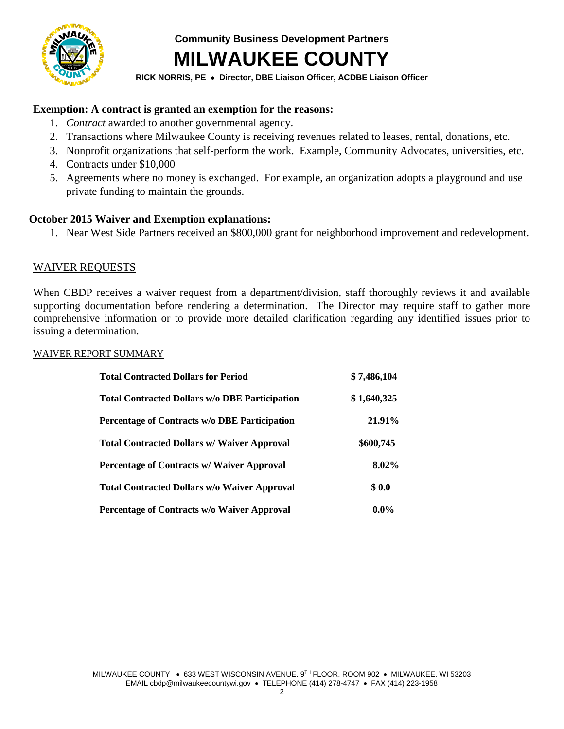

**Community Business Development Partners**

## **MILWAUKEE COUNTY**

**RICK NORRIS, PE Director, DBE Liaison Officer, ACDBE Liaison Officer**

### **Exemption: A contract is granted an exemption for the reasons:**

- 1. *Contract* awarded to another governmental agency.
- 2. Transactions where Milwaukee County is receiving revenues related to leases, rental, donations, etc.
- 3. Nonprofit organizations that self-perform the work. Example, Community Advocates, universities, etc.
- 4. Contracts under \$10,000
- 5. Agreements where no money is exchanged. For example, an organization adopts a playground and use private funding to maintain the grounds.

#### **October 2015 Waiver and Exemption explanations:**

1. Near West Side Partners received an \$800,000 grant for neighborhood improvement and redevelopment.

#### WAIVER REQUESTS

When CBDP receives a waiver request from a department/division, staff thoroughly reviews it and available supporting documentation before rendering a determination. The Director may require staff to gather more comprehensive information or to provide more detailed clarification regarding any identified issues prior to issuing a determination.

#### WAIVER REPORT SUMMARY

| <b>Total Contracted Dollars for Period</b>            | \$7,486,104 |
|-------------------------------------------------------|-------------|
| <b>Total Contracted Dollars w/o DBE Participation</b> | \$1,640,325 |
| <b>Percentage of Contracts w/o DBE Participation</b>  | 21.91%      |
| <b>Total Contracted Dollars w/ Waiver Approval</b>    | \$600,745   |
| <b>Percentage of Contracts w/ Waiver Approval</b>     | 8.02%       |
| <b>Total Contracted Dollars w/o Waiver Approval</b>   | \$0.0       |
| Percentage of Contracts w/o Waiver Approval           | $0.0\%$     |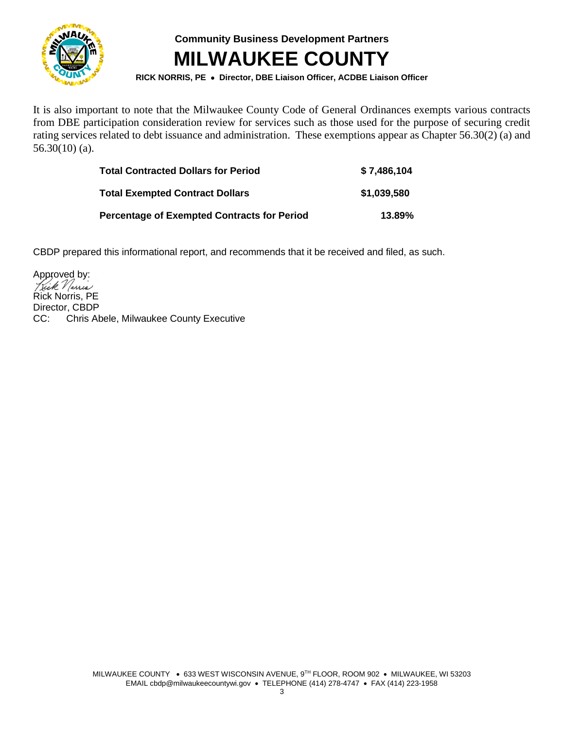

**Community Business Development Partners MILWAUKEE COUNTY**

**RICK NORRIS, PE Director, DBE Liaison Officer, ACDBE Liaison Officer**

It is also important to note that the Milwaukee County Code of General Ordinances exempts various contracts from DBE participation consideration review for services such as those used for the purpose of securing credit rating services related to debt issuance and administration. These exemptions appear as Chapter 56.30(2) (a) and 56.30(10) (a).

| <b>Total Contracted Dollars for Period</b>         | \$7,486,104 |
|----------------------------------------------------|-------------|
| <b>Total Exempted Contract Dollars</b>             | \$1,039,580 |
| <b>Percentage of Exempted Contracts for Period</b> | 13.89%      |

CBDP prepared this informational report, and recommends that it be received and filed, as such.

Approved by: Rick Norris, PE Director, CBDP<br>CC: Chris Al Chris Abele, Milwaukee County Executive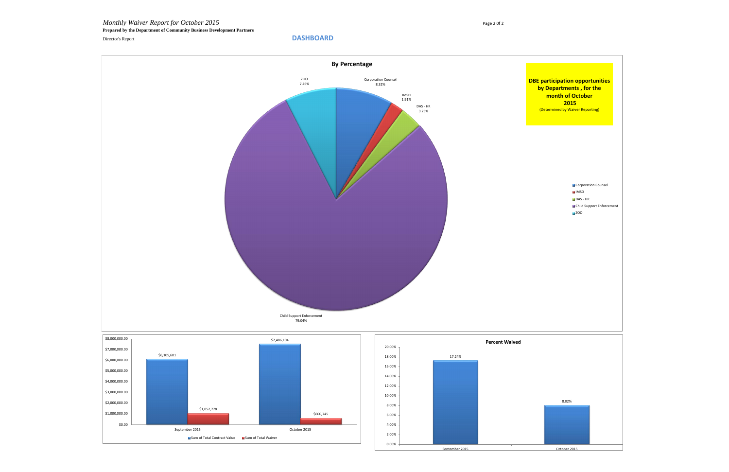*Monthly Waiver Report for October 2015* Page 2 0f 2 **Prepared by the Department of Community Business Development Partners** Director's Report **DASHBOARD**





0.00% 2.00% 4.00%

\$0.00

September 2015 October 2015

■ Sum of Total Contract Value ■ Sum of Total Waiver